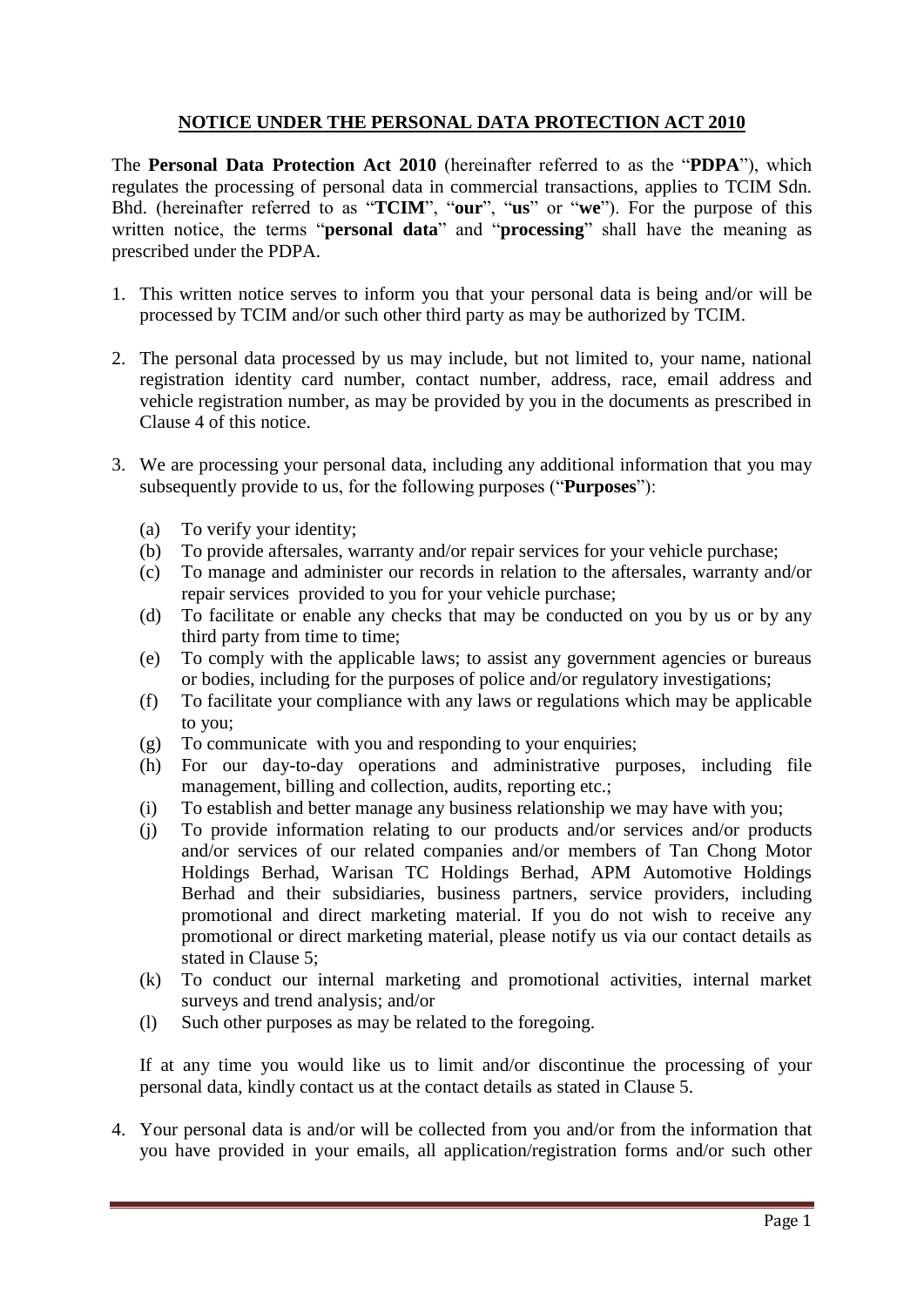## **NOTICE UNDER THE PERSONAL DATA PROTECTION ACT 2010**

The **Personal Data Protection Act 2010** (hereinafter referred to as the "**PDPA**"), which regulates the processing of personal data in commercial transactions, applies to TCIM Sdn. Bhd. (hereinafter referred to as "**TCIM**", "**our**", "**us**" or "**we**"). For the purpose of this written notice, the terms "**personal data**" and "**processing**" shall have the meaning as prescribed under the PDPA.

- 1. This written notice serves to inform you that your personal data is being and/or will be processed by TCIM and/or such other third party as may be authorized by TCIM.
- 2. The personal data processed by us may include, but not limited to, your name, national registration identity card number, contact number, address, race, email address and vehicle registration number, as may be provided by you in the documents as prescribed in Clause 4 of this notice.
- 3. We are processing your personal data, including any additional information that you may subsequently provide to us, for the following purposes ("**Purposes**"):
	- (a) To verify your identity;
	- (b) To provide aftersales, warranty and/or repair services for your vehicle purchase;
	- (c) To manage and administer our records in relation to the aftersales, warranty and/or repair services provided to you for your vehicle purchase;
	- (d) To facilitate or enable any checks that may be conducted on you by us or by any third party from time to time;
	- (e) To comply with the applicable laws; to assist any government agencies or bureaus or bodies, including for the purposes of police and/or regulatory investigations;
	- (f) To facilitate your compliance with any laws or regulations which may be applicable to you;
	- (g) To communicate with you and responding to your enquiries;
	- (h) For our day-to-day operations and administrative purposes, including file management, billing and collection, audits, reporting etc.;
	- (i) To establish and better manage any business relationship we may have with you;
	- (j) To provide information relating to our products and/or services and/or products and/or services of our related companies and/or members of Tan Chong Motor Holdings Berhad, Warisan TC Holdings Berhad, APM Automotive Holdings Berhad and their subsidiaries, business partners, service providers, including promotional and direct marketing material. If you do not wish to receive any promotional or direct marketing material, please notify us via our contact details as stated in Clause 5;
	- (k) To conduct our internal marketing and promotional activities, internal market surveys and trend analysis; and/or
	- (l) Such other purposes as may be related to the foregoing.

If at any time you would like us to limit and/or discontinue the processing of your personal data, kindly contact us at the contact details as stated in Clause 5.

4. Your personal data is and/or will be collected from you and/or from the information that you have provided in your emails, all application/registration forms and/or such other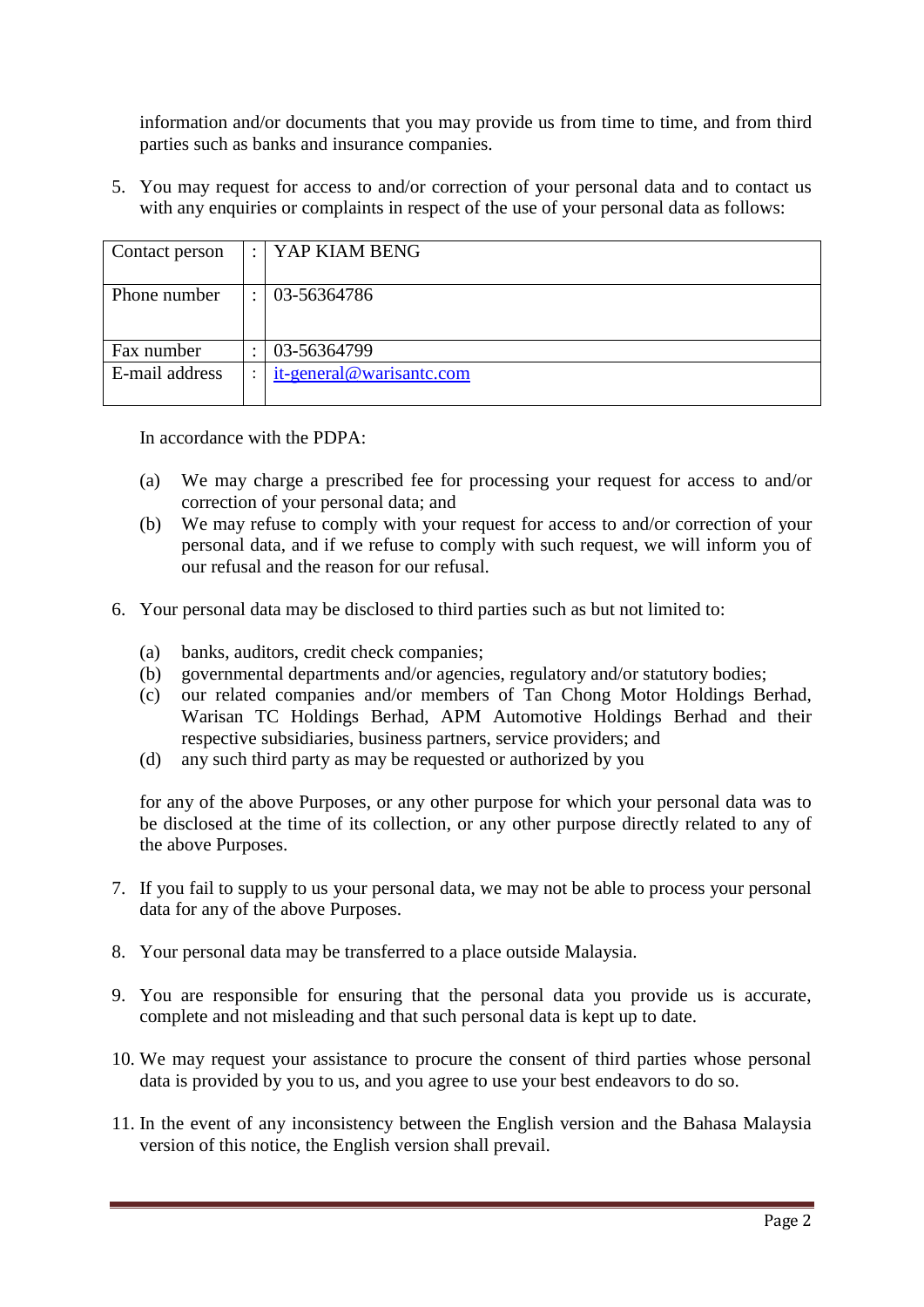information and/or documents that you may provide us from time to time, and from third parties such as banks and insurance companies.

5. You may request for access to and/or correction of your personal data and to contact us with any enquiries or complaints in respect of the use of your personal data as follows:

| Contact person |   | $:$   YAP KIAM BENG      |
|----------------|---|--------------------------|
|                |   |                          |
|                |   |                          |
|                |   |                          |
|                |   |                          |
| Phone number   |   | 03-56364786              |
|                |   |                          |
|                |   |                          |
|                |   |                          |
|                |   |                          |
| Fax number     |   | 03-56364799              |
|                |   |                          |
| E-mail address | ٠ | it-general@warisantc.com |
|                |   |                          |
|                |   |                          |
|                |   |                          |

In accordance with the PDPA:

- (a) We may charge a prescribed fee for processing your request for access to and/or correction of your personal data; and
- (b) We may refuse to comply with your request for access to and/or correction of your personal data, and if we refuse to comply with such request, we will inform you of our refusal and the reason for our refusal.
- 6. Your personal data may be disclosed to third parties such as but not limited to:
	- (a) banks, auditors, credit check companies;
	- (b) governmental departments and/or agencies, regulatory and/or statutory bodies;
	- (c) our related companies and/or members of Tan Chong Motor Holdings Berhad, Warisan TC Holdings Berhad, APM Automotive Holdings Berhad and their respective subsidiaries, business partners, service providers; and
	- (d) any such third party as may be requested or authorized by you

for any of the above Purposes, or any other purpose for which your personal data was to be disclosed at the time of its collection, or any other purpose directly related to any of the above Purposes.

- 7. If you fail to supply to us your personal data, we may not be able to process your personal data for any of the above Purposes.
- 8. Your personal data may be transferred to a place outside Malaysia.
- 9. You are responsible for ensuring that the personal data you provide us is accurate, complete and not misleading and that such personal data is kept up to date.
- 10. We may request your assistance to procure the consent of third parties whose personal data is provided by you to us, and you agree to use your best endeavors to do so.
- 11. In the event of any inconsistency between the English version and the Bahasa Malaysia version of this notice, the English version shall prevail.